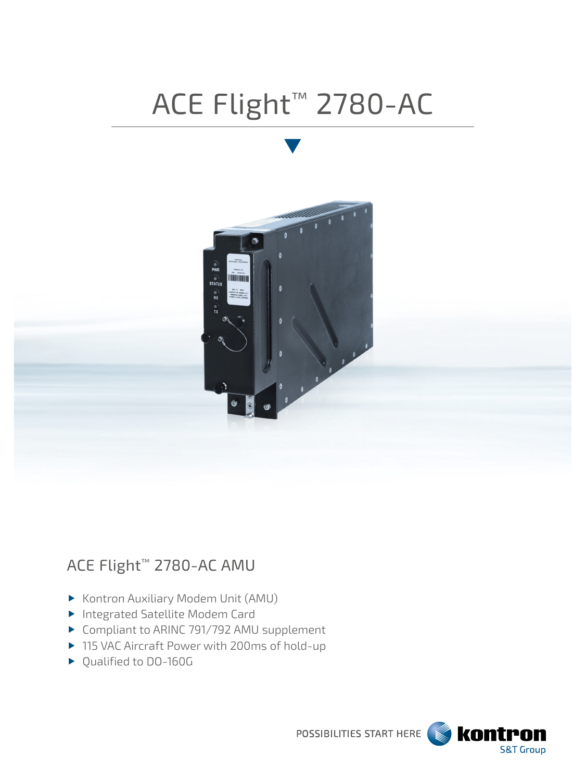# ACE Flight™ 2780-AC



# ACE Flight™ 2780-AC AMU

- Kontron Auxiliary Modem Unit (AMU)
- ▶ Integrated Satellite Modem Card
- ▶ Compliant to ARINC 791/792 AMU supplement
- ▶ 115 VAC Aircraft Power with 200ms of hold-up
- ▶ Qualified to DO-160G